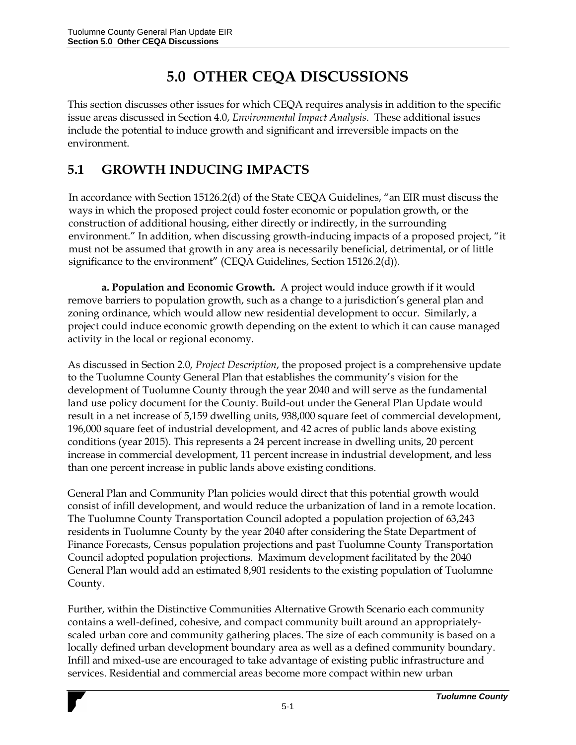## **5.0 OTHER CEQA DISCUSSIONS**

This section discusses other issues for which CEQA requires analysis in addition to the specific issue areas discussed in Section 4.0, *Environmental Impact Analysis*. These additional issues include the potential to induce growth and significant and irreversible impacts on the environment.

## **5.1 GROWTH INDUCING IMPACTS**

In accordance with Section 15126.2(d) of the State CEQA Guidelines, "an EIR must discuss the ways in which the proposed project could foster economic or population growth, or the construction of additional housing, either directly or indirectly, in the surrounding environment." In addition, when discussing growth-inducing impacts of a proposed project, "it must not be assumed that growth in any area is necessarily beneficial, detrimental, or of little significance to the environment" (CEQA Guidelines, Section 15126.2(d)).

**a. Population and Economic Growth.** A project would induce growth if it would remove barriers to population growth, such as a change to a jurisdiction's general plan and zoning ordinance, which would allow new residential development to occur. Similarly, a project could induce economic growth depending on the extent to which it can cause managed activity in the local or regional economy.

As discussed in Section 2.0, *Project Description*, the proposed project is a comprehensive update to the Tuolumne County General Plan that establishes the community's vision for the development of Tuolumne County through the year 2040 and will serve as the fundamental land use policy document for the County. Build-out under the General Plan Update would result in a net increase of 5,159 dwelling units, 938,000 square feet of commercial development, 196,000 square feet of industrial development, and 42 acres of public lands above existing conditions (year 2015). This represents a 24 percent increase in dwelling units, 20 percent increase in commercial development, 11 percent increase in industrial development, and less than one percent increase in public lands above existing conditions.

General Plan and Community Plan policies would direct that this potential growth would consist of infill development, and would reduce the urbanization of land in a remote location. The Tuolumne County Transportation Council adopted a population projection of 63,243 residents in Tuolumne County by the year 2040 after considering the State Department of Finance Forecasts, Census population projections and past Tuolumne County Transportation Council adopted population projections. Maximum development facilitated by the 2040 General Plan would add an estimated 8,901 residents to the existing population of Tuolumne County.

Further, within the Distinctive Communities Alternative Growth Scenario each community contains a well-defined, cohesive, and compact community built around an appropriatelyscaled urban core and community gathering places. The size of each community is based on a locally defined urban development boundary area as well as a defined community boundary. Infill and mixed-use are encouraged to take advantage of existing public infrastructure and services. Residential and commercial areas become more compact within new urban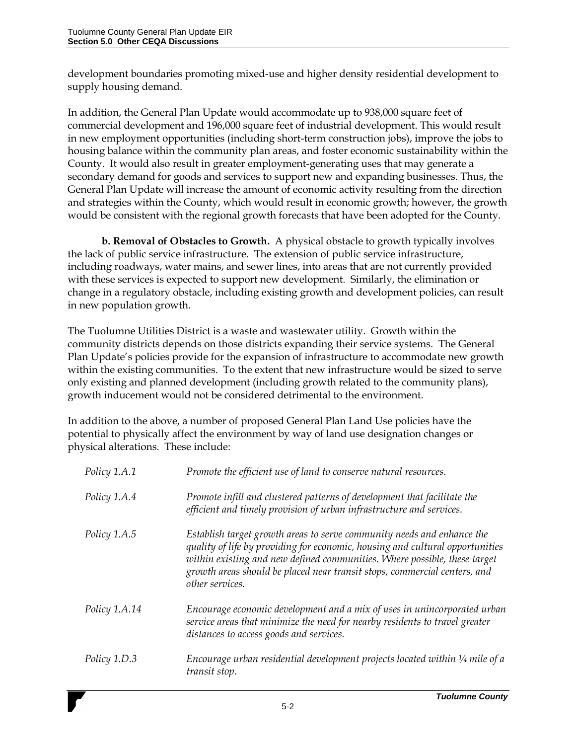development boundaries promoting mixed-use and higher density residential development to supply housing demand.

In addition, the General Plan Update would accommodate up to 938,000 square feet of commercial development and 196,000 square feet of industrial development. This would result in new employment opportunities (including short-term construction jobs), improve the jobs to housing balance within the community plan areas, and foster economic sustainability within the County. It would also result in greater employment-generating uses that may generate a secondary demand for goods and services to support new and expanding businesses. Thus, the General Plan Update will increase the amount of economic activity resulting from the direction and strategies within the County, which would result in economic growth; however, the growth would be consistent with the regional growth forecasts that have been adopted for the County.

**b. Removal of Obstacles to Growth.** A physical obstacle to growth typically involves the lack of public service infrastructure. The extension of public service infrastructure, including roadways, water mains, and sewer lines, into areas that are not currently provided with these services is expected to support new development. Similarly, the elimination or change in a regulatory obstacle, including existing growth and development policies, can result in new population growth.

The Tuolumne Utilities District is a waste and wastewater utility. Growth within the community districts depends on those districts expanding their service systems. The General Plan Update's policies provide for the expansion of infrastructure to accommodate new growth within the existing communities. To the extent that new infrastructure would be sized to serve only existing and planned development (including growth related to the community plans), growth inducement would not be considered detrimental to the environment.

In addition to the above, a number of proposed General Plan Land Use policies have the potential to physically affect the environment by way of land use designation changes or physical alterations. These include:

| Policy 1.A.1  | Promote the efficient use of land to conserve natural resources.                                                                                                                                                                                                                                                                     |
|---------------|--------------------------------------------------------------------------------------------------------------------------------------------------------------------------------------------------------------------------------------------------------------------------------------------------------------------------------------|
| Policy 1.A.4  | Promote infill and clustered patterns of development that facilitate the<br>efficient and timely provision of urban infrastructure and services.                                                                                                                                                                                     |
| Policy 1.A.5  | Establish target growth areas to serve community needs and enhance the<br>quality of life by providing for economic, housing and cultural opportunities<br>within existing and new defined communities. Where possible, these target<br>growth areas should be placed near transit stops, commercial centers, and<br>other services. |
| Policy 1.A.14 | Encourage economic development and a mix of uses in unincorporated urban<br>service areas that minimize the need for nearby residents to travel greater<br>distances to access goods and services.                                                                                                                                   |
| Policy 1.D.3  | Encourage urban residential development projects located within $\frac{1}{4}$ mile of a<br>transit stop.                                                                                                                                                                                                                             |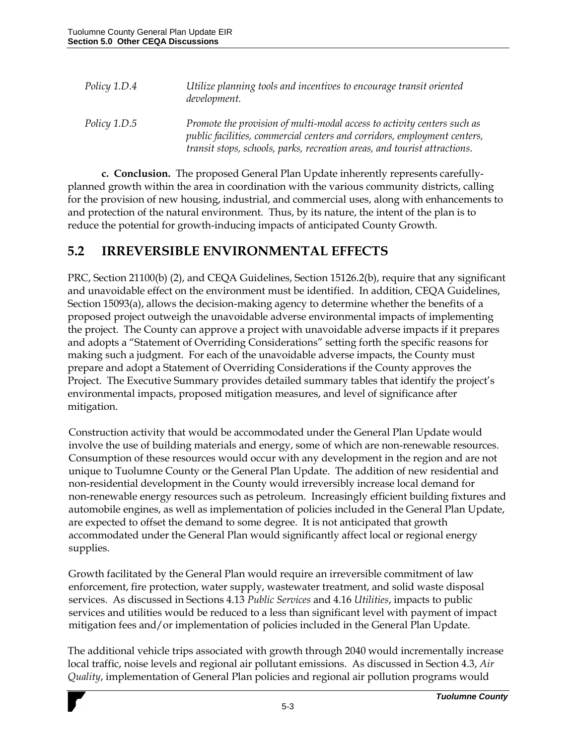| Policy 1.D.4 | Utilize planning tools and incentives to encourage transit oriented<br>development.                                                                                                                                              |
|--------------|----------------------------------------------------------------------------------------------------------------------------------------------------------------------------------------------------------------------------------|
| Policy 1.D.5 | Promote the provision of multi-modal access to activity centers such as<br>public facilities, commercial centers and corridors, employment centers,<br>transit stops, schools, parks, recreation areas, and tourist attractions. |

**c. Conclusion.** The proposed General Plan Update inherently represents carefullyplanned growth within the area in coordination with the various community districts, calling for the provision of new housing, industrial, and commercial uses, along with enhancements to and protection of the natural environment. Thus, by its nature, the intent of the plan is to reduce the potential for growth-inducing impacts of anticipated County Growth.

## **5.2 IRREVERSIBLE ENVIRONMENTAL EFFECTS**

PRC, Section 21100(b) (2), and CEQA Guidelines, Section 15126.2(b), require that any significant and unavoidable effect on the environment must be identified. In addition, CEQA Guidelines, Section 15093(a), allows the decision-making agency to determine whether the benefits of a proposed project outweigh the unavoidable adverse environmental impacts of implementing the project. The County can approve a project with unavoidable adverse impacts if it prepares and adopts a "Statement of Overriding Considerations" setting forth the specific reasons for making such a judgment. For each of the unavoidable adverse impacts, the County must prepare and adopt a Statement of Overriding Considerations if the County approves the Project. The Executive Summary provides detailed summary tables that identify the project's environmental impacts, proposed mitigation measures, and level of significance after mitigation.

Construction activity that would be accommodated under the General Plan Update would involve the use of building materials and energy, some of which are non-renewable resources. Consumption of these resources would occur with any development in the region and are not unique to Tuolumne County or the General Plan Update. The addition of new residential and non-residential development in the County would irreversibly increase local demand for non-renewable energy resources such as petroleum. Increasingly efficient building fixtures and automobile engines, as well as implementation of policies included in the General Plan Update, are expected to offset the demand to some degree. It is not anticipated that growth accommodated under the General Plan would significantly affect local or regional energy supplies.

Growth facilitated by the General Plan would require an irreversible commitment of law enforcement, fire protection, water supply, wastewater treatment, and solid waste disposal services. As discussed in Sections 4.13 *Public Services* and 4.16 *Utilities*, impacts to public services and utilities would be reduced to a less than significant level with payment of impact mitigation fees and/or implementation of policies included in the General Plan Update.

The additional vehicle trips associated with growth through 2040 would incrementally increase local traffic, noise levels and regional air pollutant emissions. As discussed in Section 4.3, *Air Quality*, implementation of General Plan policies and regional air pollution programs would